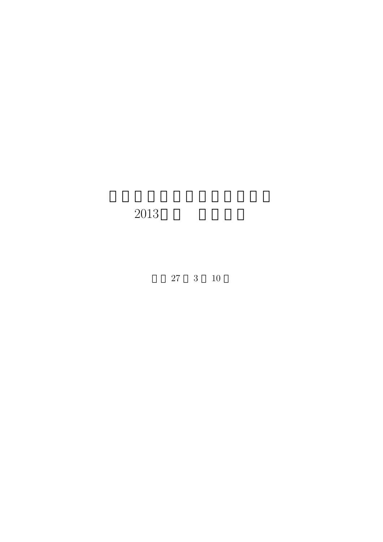$2013$ 

平成 27 3 10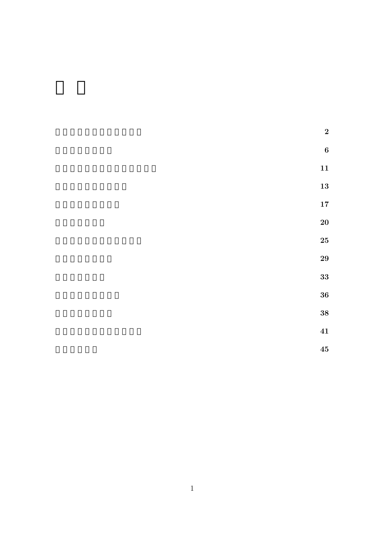| $\overline{\mathbf{c}}$ |
|-------------------------|
| $\overline{6}$          |
| 11                      |
| 13                      |
| 17                      |
| 20                      |
| 25                      |
| 29                      |
| 33                      |
| 36                      |
| 38                      |

一般相対論・宇宙論研究室 **41**

宇宙論研究室 **45**

**2**

**6**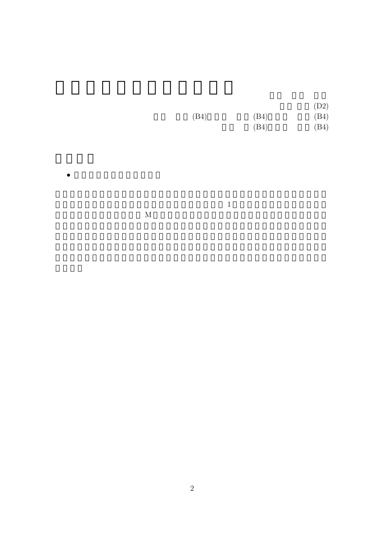|      |      | (D2) |
|------|------|------|
| (B4) | (B4) | (B4) |
|      | (B4) | (B4) |

 $M$ 

 $-1$ 

• **•**  $\bullet$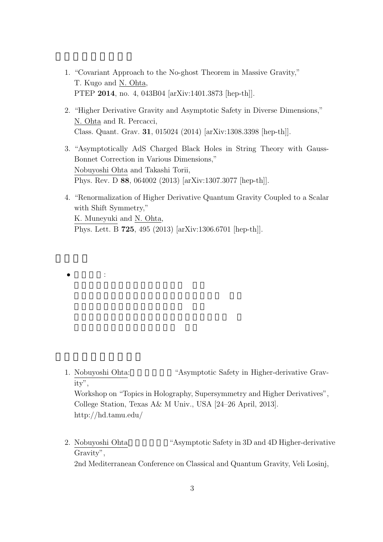- 1. "Covariant Approach to the No-ghost Theorem in Massive Gravity," T. Kugo and N. Ohta, PTEP **2014**, no. 4, 043B04 [arXiv:1401.3873 [hep-th]].
- 2. "Higher Derivative Gravity and Asymptotic Safety in Diverse Dimensions," N. Ohta and R. Percacci, Class. Quant. Grav. **31**, 015024 (2014) [arXiv:1308.3398 [hep-th]].
- 3. "Asymptotically AdS Charged Black Holes in String Theory with Gauss-Bonnet Correction in Various Dimensions," Nobuyoshi Ohta and Takashi Torii, Phys. Rev. D **88**, 064002 (2013) [arXiv:1307.3077 [hep-th]].
- 4. "Renormalization of Higher Derivative Quantum Gravity Coupled to a Scalar with Shift Symmetry," K. Muneyuki and N. Ohta, Phys. Lett. B **725**, 495 (2013) [arXiv:1306.6701 [hep-th]].

*•* 学士論文:

1. Nobuyoshi Ohta: "Asymptotic Safety in Higher-derivative Gravity", Workshop on "Topics in Holography, Supersymmetry and Higher Derivatives",

College Station, Texas A& M Univ., USA [24–26 April, 2013]. http://hd.tamu.edu/

2. Nobuyoshi Ohta: "Asymptotic Safety in 3D and 4D Higher-derivative Gravity", 2nd Mediterranean Conference on Classical and Quantum Gravity, Veli Losinj,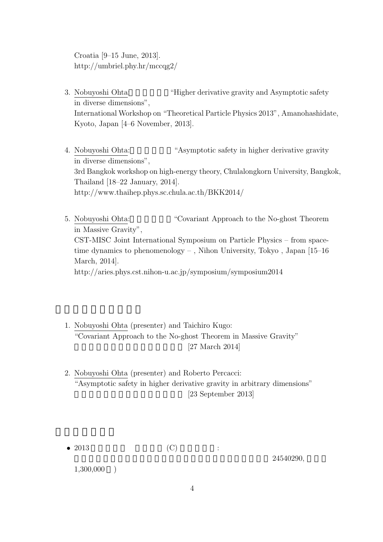Croatia [9–15 June, 2013]. http://umbriel.phy.hr/mccqg2/

- 3. Nobuyoshi Ohta: "Higher derivative gravity and Asymptotic safety in diverse dimensions", International Workshop on "Theoretical Particle Physics 2013", Amanohashidate, Kyoto, Japan [4–6 November, 2013].
- 4. Nobuyoshi Ohta: "Asymptotic safety in higher derivative gravity in diverse dimensions", 3rd Bangkok workshop on high-energy theory, Chulalongkorn University, Bangkok, Thailand [18–22 January, 2014]. http://www.thaihep.phys.sc.chula.ac.th/BKK2014/
- 5. Nobuyoshi Ohta: "Covariant Approach to the No-ghost Theorem" in Massive Gravity", CST-MISC Joint International Symposium on Particle Physics – from spacetime dynamics to phenomenology – , Nihon University, Tokyo , Japan [15–16 March, 2014]. http://aries.phys.cst.nihon-u.ac.jp/symposium/symposium2014
- 1. Nobuyoshi Ohta (presenter) and Taichiro Kugo: "Covariant Approach to the No-ghost Theorem in Massive Gravity"  $[27 \text{ March } 2014]$
- 2. Nobuyoshi Ohta (presenter) and Roberto Percacci: "Asymptotic safety in higher derivative gravity in arbitrary dimensions"  $[23$  September 2013]

• 2013 (C)  $\qquad \qquad :$ 

24540290,

1,300,000 )

4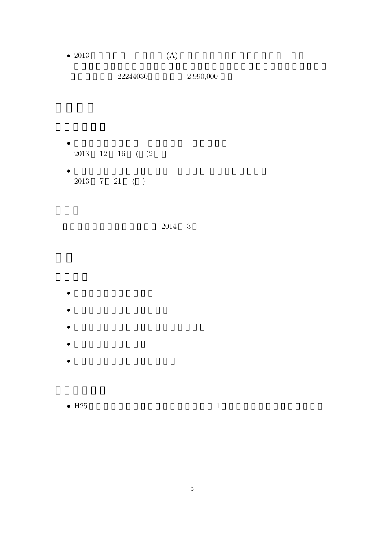- 2013 (A)  $22244030$   $2,990,000$
- *•* 出張講義:兵庫県立 西宮南高校 理学科紹介  $2013$  12 16 ( )2 •<br>• <sub>1975</sub> • <sub>1975</sub> • 1975 • 1975 • 1975 • 1975 • 1975 • 1975 • 1975 • 1975 • 1975 • 1975 • 1975 • 1975 • 1975 • 1975
- 2013 7 21 ( )



- *•* 施設・設備委員(前期)
- 
- *•* 大学院将来計画委員(前期)
- *•* 教職支援地域理数学習支援委員(前期)
- *•* 理学科長(後期より)
- **•**  $\bullet$
- H25 1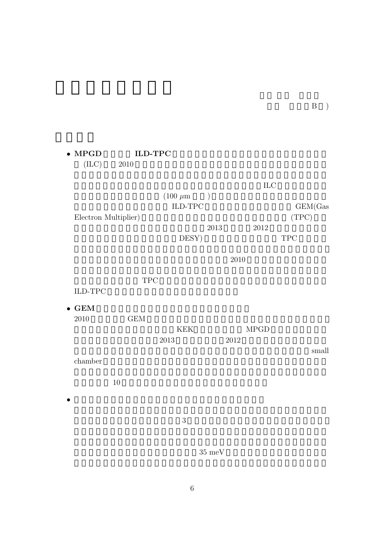•  $MPGD$  **ILD-TPC** (ILC) 2010  $(ILC)$  2010  $2010$  $\rm{ILC}$  $(100~\mu\text{m}$   $~$   $~)$  $\rm ILD-TPC \hspace{1.5cm} GEM (Gas$ Electron Multiplier) (TPC)  $2013$   $2012$  $\text{DESY}$  TPC  $2010$ 論式を用いて実際の TPC の位置分解能を評価した結果、予測される分解能は  $ILD-TPC$ *•* **GEM** を用いた荷電粒子検出器開発のための基礎研究  $2010$  GEM  $\qquad$  $\begin{array}{lll} \text{KEK} & \text{MPGD} \end{array}$  $2013$   $2012$  $small$ chamber  $10$ •<br>• ココミュニュートリ<sub>痛</sub>薬  $3$ 

 $\,$  B  $\,$  )

 $35~\mathrm{meV}$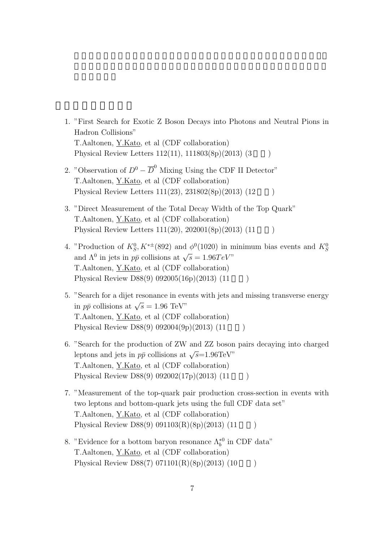- 1. "First Search for Exotic Z Boson Decays into Photons and Neutral Pions in Hadron Collisions" T.Aaltonen, Y.Kato, et al (CDF collaboration) Physical Review Letters  $112(11)$ ,  $111803(8p)(2013)$  (3)
- 2. "Observation of  $D^0 \overline{D}^0$  Mixing Using the CDF II Detector" T.Aaltonen, Y.Kato, et al (CDF collaboration) Physical Review Letters  $111(23)$ ,  $231802(8p)(2013)$   $(12)$
- 3. "Direct Measurement of the Total Decay Width of the Top Quark" T.Aaltonen, Y.Kato, et al (CDF collaboration) Physical Review Letters  $111(20)$ ,  $202001(8p)(2013)$   $(11)$
- 4. "Production of  $K_S^0, K^{*\pm}$  (892) and  $\phi^0$  (1020) in minimum bias events and  $K_S^0$ and  $\Lambda^0$  in jets in  $p\bar{p}$  collisions at  $\sqrt{s} = 1.96 TeV$ " T.Aaltonen, Y.Kato, et al (CDF collaboration) Physical Review D88(9)  $092005(16p)(2013)$  (11 )
- 5. "Search for a dijet resonance in events with jets and missing transverse energy in  $p\bar{p}$  collisions at  $\sqrt{s} = 1.96 \text{ TeV}$ " T.Aaltonen, Y.Kato, et al (CDF collaboration) Physical Review D88(9)  $092004(9p)(2013)$  (11)
- 6. "Search for the production of ZW and ZZ boson pairs decaying into charged leptons and jets in  $p\bar{p}$  collisions at  $\sqrt{s}$ =1.96TeV" T.Aaltonen, Y.Kato, et al (CDF collaboration) Physical Review D88(9)  $092002(17p)(2013)$  (11)
- 7. "Measurement of the top-quark pair production cross-section in events with two leptons and bottom-quark jets using the full CDF data set" T.Aaltonen, Y.Kato, et al (CDF collaboration) Physical Review D88(9)  $091103(R)(8p)(2013)$  (11 )
- 8. "Evidence for a bottom baryon resonance  $\Lambda_b^{*0}$  in CDF data" T.Aaltonen, Y.Kato, et al (CDF collaboration) Physical Review D88(7)  $071101(R)(8p)(2013)$  (10 )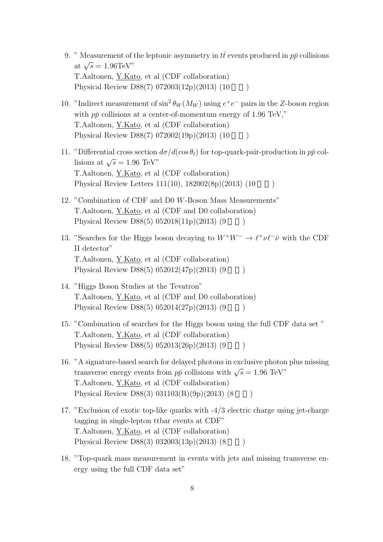- 9. " Measurement of the leptonic asymmetry in  $t\bar{t}$  events produced in  $p\bar{p}$  collisions at  $\sqrt{s} = 1.96 \text{TeV}$ " T.Aaltonen, Y.Kato, et al (CDF collaboration) Physical Review D88(7)  $072003(12p)(2013)$  (10 )
- 10. "Indirect measurement of  $\sin^2 \theta_W (M_W)$  using  $e^+e^-$  pairs in the *Z*-boson region with  $p\bar{p}$  collisions at a center-of-momentum energy of 1.96 TeV," T.Aaltonen, Y.Kato, et al (CDF collaboration) Physical Review D88(7)  $072002(19p)(2013)$  (10 )
- 11. "Differential cross section  $d\sigma/d(\cos\theta_t)$  for top-quark-pair-production in  $p\bar{p}$  collisions at  $\sqrt{s} = 1.96 \text{ TeV}$ " T.Aaltonen, Y.Kato, et al (CDF collaboration) Physical Review Letters  $111(10)$ ,  $182002(8p)(2013)$   $(10)$
- 12. "Combination of CDF and D0 *W*-Boson Mass Measurements" T.Aaltonen, Y.Kato, et al (CDF and D0 collaboration) Physical Review D88(5)  $052018(11p)(2013)$  (9)
- 13. "Searches for the Higgs boson decaying to  $W^+W^- \to \ell^+\nu\ell^-\bar{\nu}$  with the CDF II detector" T.Aaltonen, Y.Kato, et al (CDF collaboration) Physical Review D88(5)  $052012(47p)(2013)$  (9)
- 14. "Higgs Boson Studies at the Tevatron" T.Aaltonen, Y.Kato, et al (CDF and D0 collaboration) Physical Review D88(5)  $052014(27p)(2013)$  (9)
- 15. "Combination of searches for the Higgs boson using the full CDF data set " T.Aaltonen, Y.Kato, et al (CDF collaboration) Physical Review D88(5)  $052013(26p)(2013)$  (9 )
- 16. "A signature-based search for delayed photons in exclusive photon plus missing transverse energy events from  $p\bar{p}$  collisions with  $\sqrt{s} = 1.96 \text{ TeV}^n$ T.Aaltonen, Y.Kato, et al (CDF collaboration) Physical Review D88(3)  $031103(R)(9p)(2013)$  (8)
- 17. "Exclusion of exotic top-like quarks with -4/3 electric charge using jet-charge tagging in single-lepton ttbar events at CDF" T.Aaltonen, Y.Kato, et al (CDF collaboration) Physical Review D88(3)  $032003(13p)(2013)$  (8)
- 18. "Top-quark mass measurement in events with jets and missing transverse energy using the full CDF data set"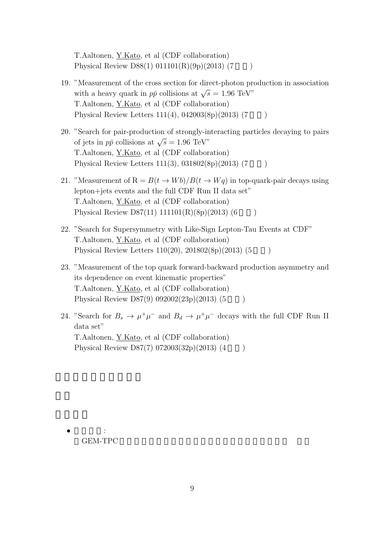T.Aaltonen, Y.Kato, et al (CDF collaboration) Physical Review D88(1)  $011101(R)(9p)(2013)$  (7)

- 19. "Measurement of the cross section for direct-photon production in association with a heavy quark in  $p\bar{p}$  collisions at  $\sqrt{s} = 1.96 \text{ TeV}^n$ T.Aaltonen, Y.Kato, et al (CDF collaboration) Physical Review Letters  $111(4)$ ,  $042003(8p)(2013)$  (7)
- 20. "Search for pair-production of strongly-interacting particles decaying to pairs of jets in  $p\bar{p}$  collisions at  $\sqrt{s} = 1.96 \text{ TeV}$ " T.Aaltonen, Y.Kato, et al (CDF collaboration) Physical Review Letters  $111(3)$ ,  $031802(8p)(2013)$  (7 )
- 21. "Measurement of  $R = B(t \rightarrow Wb)/B(t \rightarrow Wq)$  in top-quark-pair decays using lepton+jets events and the full CDF Run II data set" T.Aaltonen, Y.Kato, et al (CDF collaboration) Physical Review D87(11)  $111101(R)(8p)(2013)$  (6 )
- 22. "Search for Supersymmetry with Like-Sign Lepton-Tau Events at CDF" T.Aaltonen, Y.Kato, et al (CDF collaboration) Physical Review Letters  $110(20)$ ,  $201802(8p)(2013)$  (5 )
- 23. "Measurement of the top quark forward-backward production asymmetry and its dependence on event kinematic properties" T.Aaltonen, Y.Kato, et al (CDF collaboration) Physical Review D87(9)  $092002(23p)(2013)$  (5)
- 24. "Search for  $B_s \to \mu^+\mu^-$  and  $B_d \to \mu^+\mu^-$  decays with the full CDF Run II data set" T.Aaltonen, Y.Kato, et al (CDF collaboration) Physical Review D87(7)  $072003(32p)(2013)$  (4)

*•* 学士論文: GEM-TPC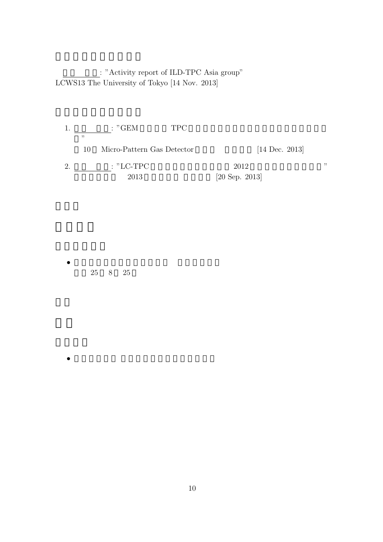: "Activity report of ILD-TPC Asia group" LCWS13 The University of Tokyo [14 Nov. 2013]

 $1.$   $:$  "GEM  $TPC$ " 10 Micro-Pattern Gas Detector [14 Dec. 2013] 2.  $\frac{1}{2}$   $\frac{1}{2012}$   $\frac{1}{2012}$   $\frac{1}{2012}$ 2013 [20 Sep. 2013]

*•* 近畿大学オープンキャンパス オープンラボ 平成 25 8 25

*•* 物理学コース ネットワーク委員、予算委員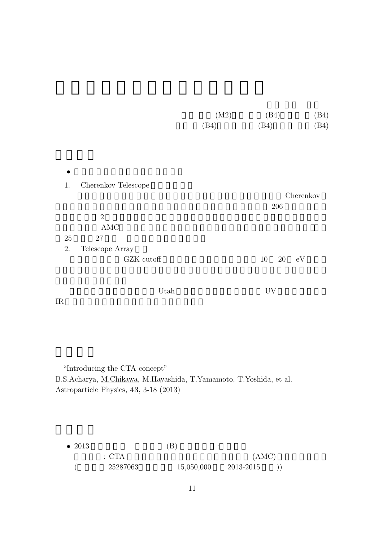|           |                      | (M2)<br>(B4) | (B4)<br>(B4) | (B4)<br>(B4) |
|-----------|----------------------|--------------|--------------|--------------|
|           |                      |              |              |              |
|           |                      |              |              |              |
| $\bullet$ |                      |              |              |              |
| 1.        | Cherenkov Telescope  |              |              |              |
|           |                      |              |              | Cherenkov    |
|           |                      |              | 206          |              |
|           | $\overline{2}$       |              |              |              |
|           | $\operatorname{AMC}$ |              |              |              |
| $25\,$    | $27\,$               |              |              |              |
| 2.        | Telescope Array      |              |              |              |
|           | GZK cutoff           |              | 10<br>20     | eV           |
|           |                      |              |              |              |

 $U\text{tah}$   $UV$ 

"Introducing the CTA concept" B.S.Acharya, M.Chikawa, M.Hayashida, T.Yamamoto, T.Yoshida, et al. Astroparticle Physics, **43**, 3-18 (2013)

IR  $\blacksquare$ 

• 2013 (B)  $\qquad \qquad$ : CTA  $(AMC)$  $( \hspace{1.5cm} 25287063 \hspace{3.1cm} 15,050,000 \hspace{3.1cm} 2013\text{-}2015 \hspace{1.4cm} ) )$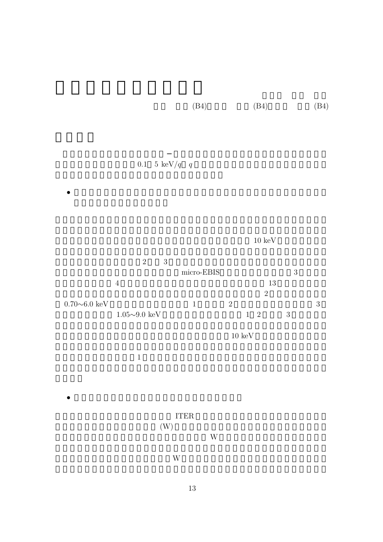$\qquad \qquad \textbf{(B4)} \qquad \qquad \textbf{(B4)}$ 

 $0.1\quad 5 \text{ keV}/q \quad q$ 

*•* 一酸化炭素および二酸化炭素分子との衝突における低速の二価および三価の

 $10~{\rm keV}$ 

 $2 \t 3$  $\begin{minipage}{0.9\linewidth} \label{eq:1} \begin{minipage}{0.9\linewidth} \textbf{micro-EBIS} \end{minipage} \begin{minipage}{0.9\linewidth} \begin{minipage}{0.9\linewidth} \begin{tabular}{l} \multicolumn{2}{c}{\textbf{0.9\linewidth}} \end{tabular} \end{minipage} \begin{minipage}{0.9\linewidth} \begin{minipage}{0.9\linewidth} \textbf{0.9} \end{minipage} \end{minipage} \begin{minipage}{0.9\linewidth} \begin{minipage}{0.9\linewidth} \begin{minipage}{0.9\linewidth} \textbf{0.9} \end{minipage} \end{$  $4 \t\t 13$  $2$  $1 \qquad \qquad 2 \qquad \qquad 3 \qquad \qquad 1.05 \sim 9.0 \ {\rm keV} \qquad \qquad 1 \qquad \qquad 2 \qquad \qquad 3 \qquad \qquad 3$ 1.05∼9.0 keV

 $10~{\rm keV}$ 

 $(1$ 

*•* タングステンイオンの電荷移行断面積に関する研究  $\Pi$  TER  $\Omega$  $(W)$  $\rm W$ 

w w and w R  $\sim$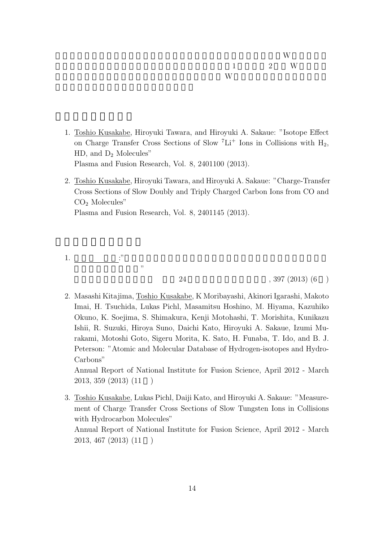${\rm W}$  $1$  and  $2$  w V 同定できるピークが観測された。今後、より多価の W イオンの発生を目指して、イ

- 1. Toshio Kusakabe, Hiroyuki Tawara, and Hiroyuki A. Sakaue: "Isotope Effect on Charge Transfer Cross Sections of Slow  ${}^{7}\text{Li}^{+}$  Ions in Collisions with  $H_2$ , HD, and D<sup>2</sup> Molecules" Plasma and Fusion Research, Vol. 8, 2401100 (2013).
- 2. Toshio Kusakabe, Hiroyuki Tawara, and Hiroyuki A. Sakaue: "Charge-Transfer Cross Sections of Slow Doubly and Triply Charged Carbon Ions from CO and  $CO<sub>2</sub>$  Molecules"

Plasma and Fusion Research, Vol. 8, 2401145 (2013).

1.  $\cdot$ "  $\mathcal{D}$ 

 $24$  , 397 (2013) (6 )

2. Masashi Kitajima, Toshio Kusakabe, K Moribayashi, Akinori Igarashi, Makoto Imai, H. Tsuchida, Lukas Pichl, Masamitsu Hoshino, M. Hiyama, Kazuhiko Okuno, K. Soejima, S. Shimakura, Kenji Motohashi, T. Morishita, Kunikazu Ishii, R. Suzuki, Hiroya Suno, Daichi Kato, Hiroyuki A. Sakaue, Izumi Murakami, Motoshi Goto, Sigeru Morita, K. Sato, H. Funaba, T. Ido, and B. J. Peterson: "Atomic and Molecular Database of Hydrogen-isotopes and Hydro-Carbons"

Annual Report of National Institute for Fusion Science, April 2012 - March 2013, 359 (2013) (11 )

3. Toshio Kusakabe, Lukas Pichl, Daiji Kato, and Hiroyuki A. Sakaue: "Measurement of Charge Transfer Cross Sections of Slow Tungsten Ions in Collisions with Hydrocarbon Molecules" Annual Report of National Institute for Fusion Science, April 2012 - March 2013, 467 (2013) (11 )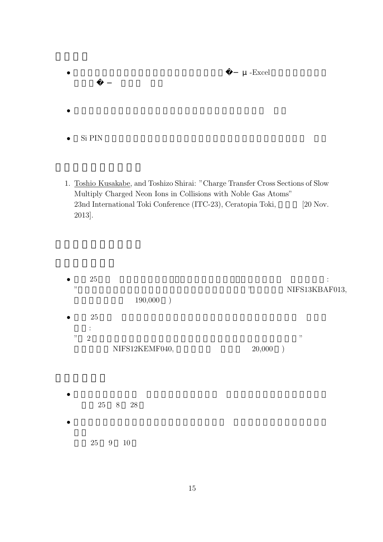- The set of the set of the set of the set of the set of the set of the set of the set of the set of the set of the set of the set of the set of the set of the set of the set of the set of the set of the set of the set of
	- •<br>• The contract of the contract of the contract of the contract of the contract of the contract of the contract
	- Si PIN  $\bullet$
- 1. Toshio Kusakabe, and Toshizo Shirai: "Charge Transfer Cross Sections of Slow Multiply Charged Neon Ions in Collisions with Noble Gas Atoms"  $23nd$  International Toki Conference (ITC-23), Ceratopia Toki,  $[20$  Nov. 2013].

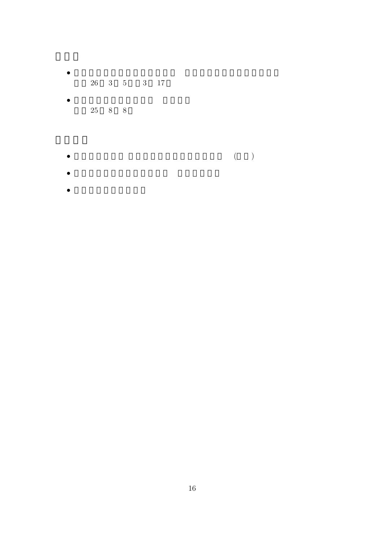- •<br>• The state of the state of the state of the state of the state of the state of the state of the state of the<br>• The state of the state of the state of the state of the state of the state of the state of the state of the  $26 \quad 3 \quad 5 \qquad 3 \quad 17$
- **•** The state  $\mathbb{R}$  is the state  $\mathbb{R}$  is the state  $\mathbb{R}$ 平成 25 8 8
- $($
- *•* 教員養成カリキュラム委員会 理工学部委員
- *•* 理工学部施設設備委員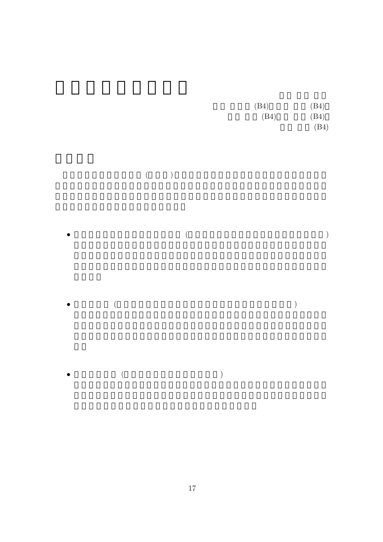|                | $($            |  |  |
|----------------|----------------|--|--|
|                |                |  |  |
|                | $\overline{a}$ |  |  |
|                |                |  |  |
| $\overline{a}$ |                |  |  |
|                |                |  |  |
|                |                |  |  |

| (B4) | (B4) |
|------|------|
| (B4) | (B4) |
|      | (B4) |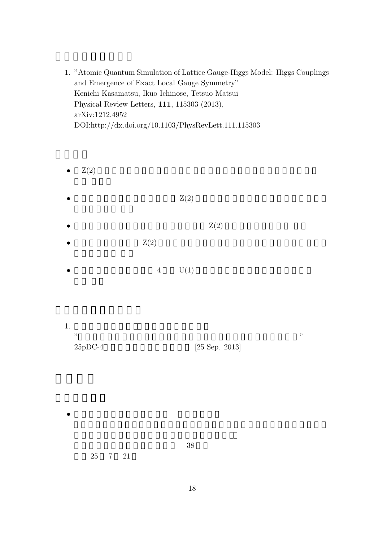1. "Atomic Quantum Simulation of Lattice Gauge-Higgs Model: Higgs Couplings and Emergence of Exact Local Gauge Symmetry" Kenichi Kasamatsu, Ikuo Ichinose, Tetsuo Matsui Physical Review Letters, **111**, 115303 (2013), arXiv:1212.4952 DOI:http://dx.doi.org/10.1103/PhysRevLett.111.115303

•  $Z(2)$ •  $\bullet$   $Z(2)$ •  $\mathbf{Z}(2)$ •  $\mathbf{Z}(2)$ **•**  $4 \quad \text{U}(1)$ 

 $1.$  $\mathcal{V}$  $25pDC-4$  [25 Sep. 2013]

•<br>• <sub>197</sub> + 197 + 197 + 197 + 197 + 197 + 197 + 197 + 197 + 197 + 197 + 197 + 197 + 197 + 197 + 197 + 197 + 197 + 197  $38$ 平成 25 7 21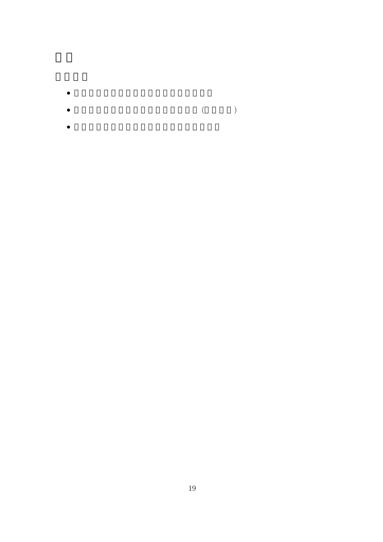- *•* 理工学部入学試験委員会委員(前、後期)
- *•* 総合理工学研究科自己点検委員会委員 (前、後期)
- •<br>• March 2000 product 2000 product 2000 product 2000 product 2000 product 2000 product 2000 product 2000 produc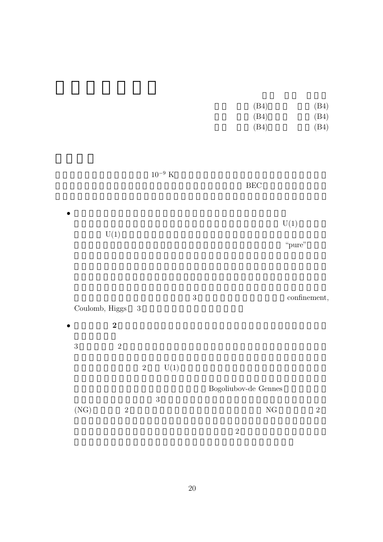| (B4) | (B4) |
|------|------|
| (B4) | (B4) |
| (B4) | (B4) |

10<sup>−9</sup> K

 $\rm BEC$ 

•<br>• <sub>•</sub> "<sub></sub>  $U(1)$  $U(1)$  $\lq\lq$  pure"

 $3$  confinement, Coulomb, Higgs 3 • 2  $3$  2  $2$   $\qquad$  U(1)  ${\bf Bogoliubov-de \, \, Gennes}$ 3  $3$ (NG)  $2$   $N$ G  $2$ 

 $\sim$  2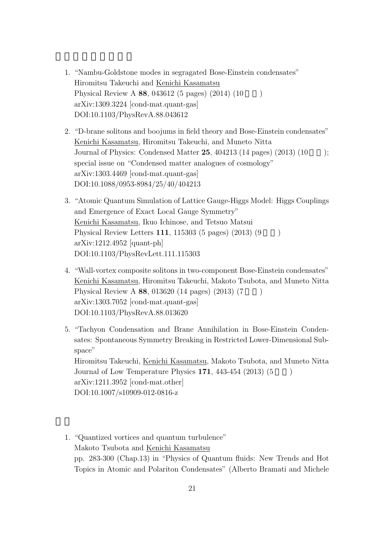- 1. "Nambu-Goldstone modes in segragated Bose-Einstein condensates" Hiromitsu Takeuchi and Kenichi Kasamatsu Physical Review A **88**, 043612 (5 pages) (2014) (10 ) arXiv:1309.3224 [cond-mat.quant-gas] DOI:10.1103/PhysRevA.88.043612
- 2. "D-brane solitons and boojums in field theory and Bose-Einstein condensates" Kenichi Kasamatsu, Hiromitsu Takeuchi, and Muneto Nitta Journal of Physics: Condensed Matter **25**, 404213 (14 pages) (2013) (10); special issue on "Condensed matter analogues of cosmology" arXiv:1303.4469 [cond-mat.quant-gas] DOI:10.1088/0953-8984/25/40/404213
- 3. "Atomic Quantum Simulation of Lattice Gauge-Higgs Model: Higgs Couplings and Emergence of Exact Local Gauge Symmetry" Kenichi Kasamatsu, Ikuo Ichinose, and Tetsuo Matsui Physical Review Letters **111**, 115303 (5 pages) (2013) (9) arXiv:1212.4952 [quant-ph] DOI:10.1103/PhysRevLett.111.115303
- 4. "Wall-vortex composite solitons in two-component Bose-Einstein condensates" Kenichi Kasamatsu, Hiromitsu Takeuchi, Makoto Tsubota, and Muneto Nitta Physical Review A **88**, 013620 (14 pages) (2013) (7 ) arXiv:1303.7052 [cond-mat.quant-gas] DOI:10.1103/PhysRevA.88.013620
- 5. "Tachyon Condensation and Brane Annihilation in Bose-Einstein Condensates: Spontaneous Symmetry Breaking in Restricted Lower-Dimensional Subspace" Hiromitsu Takeuchi, Kenichi Kasamatsu, Makoto Tsubota, and Muneto Nitta Journal of Low Temperature Physics **171**, 443-454 (2013) (5) arXiv:1211.3952 [cond-mat.other] DOI:10.1007/s10909-012-0816-z
- 1. "Quantized vortices and quantum turbulence" Makoto Tsubota and Kenichi Kasamatsu pp. 283-300 (Chap.13) in "Physics of Quantum fluids: New Trends and Hot Topics in Atomic and Polariton Condensates" (Alberto Bramati and Michele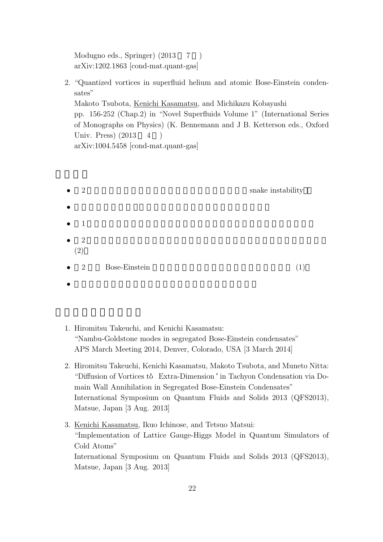Modugno eds., Springer) (2013 7) arXiv:1202.1863 [cond-mat.quant-gas]

2. "Quantized vortices in superfluid helium and atomic Bose-Einstein condensates"

Makoto Tsubota, Kenichi Kasamatsu, and Michikazu Kobayashi pp. 156-252 (Chap.2) in "Novel Superfluids Volume 1" (International Series of Monographs on Physics) (K. Bennemann and J B. Ketterson eds., Oxford Univ. Press) (2013 4) arXiv:1004.5458 [cond-mat.quant-gas]

| $\bullet$ | $\overline{2}$        |               | snake instability |     |  |
|-----------|-----------------------|---------------|-------------------|-----|--|
| $\bullet$ |                       |               |                   |     |  |
| $\bullet$ | $\mathbf{1}$          |               |                   |     |  |
| $\bullet$ | $\overline{2}$<br>(2) |               |                   |     |  |
| $\bullet$ | $\overline{2}$        | Bose-Einstein |                   | (1) |  |
| $\bullet$ |                       |               |                   |     |  |

- 1. Hiromitsu Takeuchi, and Kenichi Kasamatsu: "Nambu-Goldstone modes in segregated Bose-Einstein condensates" APS March Meeting 2014, Denver, Colorado, USA [3 March 2014]
- 2. Hiromitsu Takeuchi, Kenichi Kasamatsu, Makoto Tsubota, and Muneto Nitta: "Diffusion of Vortices to' Extra-Dimension 'in Tachyon Condensation via Domain Wall Annihilation in Segregated Bose-Einstein Condensates" International Symposium on Quantum Fluids and Solids 2013 (QFS2013), Matsue, Japan [3 Aug. 2013]
- 3. Kenichi Kasamatsu, Ikuo Ichinose, and Tetsuo Matsui: "Implementation of Lattice Gauge-Higgs Model in Quantum Simulators of Cold Atoms" International Symposium on Quantum Fluids and Solids 2013 (QFS2013), Matsue, Japan [3 Aug. 2013]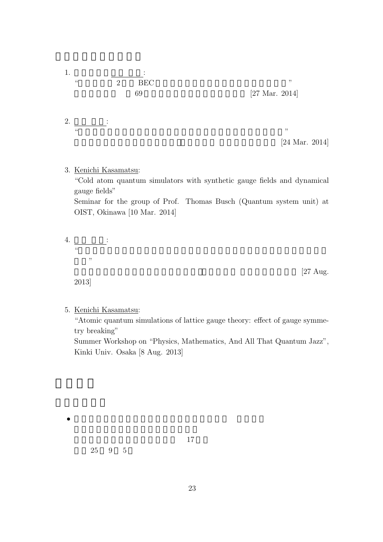

3. Kenichi Kasamatsu:

"Cold atom quantum simulators with synthetic gauge fields and dynamical gauge fields"

Seminar for the group of Prof. Thomas Busch (Quantum system unit) at OIST, Okinawa [10 Mar. 2014]

 $4. \frac{4}{a}$  $\alpha$  $, ,$  $[27 \text{ Aug.}]$ 2013]

5. Kenichi Kasamatsu:

"Atomic quantum simulations of lattice gauge theory: effect of gauge symmetry breaking"

Summer Workshop on "Physics, Mathematics, And All That Quantum Jazz", Kinki Univ. Osaka [8 Aug. 2013]

*•* 近畿大学キャンパス見学(私立上宮高等学校) 模擬講義

平成 25 9 5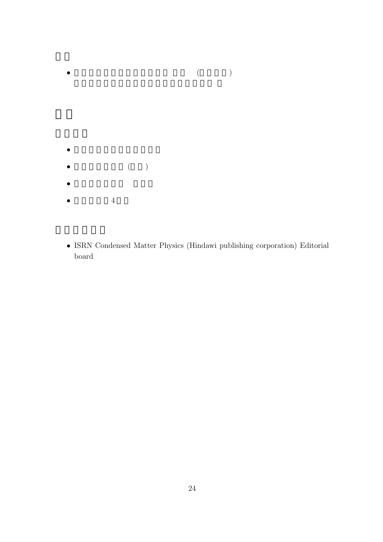*•* 「ファンダメンタル物理学」 力学 (共立出版)

- *•* 学部教務委員(前、後期)
- *•* 大学院教務委員 (後期)
- *•* 物理学習支援室 世話人
- 4
- *•* ISRN Condensed Matter Physics (Hindawi publishing corporation) Editorial board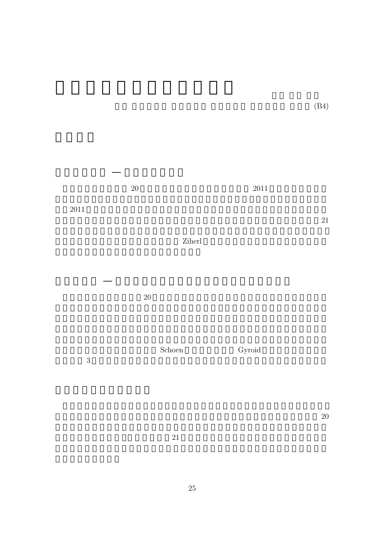$(B4)$ 

 $20 \hspace{1.5cm} 2011$ 

 $2011$ 

 $\sum$ iherl  $\sum$ 

 $3$ 

 $21$ 

 $20$ 

 $Schoen$  Gyroid Gyroid

 $20$ 

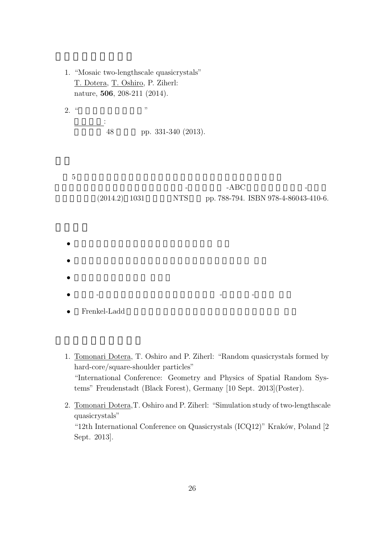- 1. "Mosaic two-lengthscale quasicrystals" T. Dotera, T. Oshiro, P. Ziherl: nature, **506**, 208-211 (2014).  $2.$  " $\,$ " 堂寺知成: 48 pp. 331-340 (2013).
- $5$ 「高分子ナノテクノロジーハンドブック-最新ポリマ -ABC 技術を中心として-」西敏  $(2014.2)$  1031 NTS pp. 788-794. ISBN 978-4-86043-410-6. • **•** The contract of the contract of the contract of the contract of the contract of the contract of the contract of the contract of the contract of the contract of the contract of the contract of the contract of the cont • **•** The contract the contract to the contract to the contract to the contract of the contract of the contract of the contract of the contract of the contract of the contract of the contract of the contract of the contrac • **•** The state  $\mathbf{r}$ *•* 「コア-シェル粒子が作る二次元準結晶構造 -頂点統計-」別宮 進一  $Prenkel-Ladd$ 
	- 1. Tomonari Dotera, T. Oshiro and P. Ziherl: "Random quasicrystals formed by hard-core/square-shoulder particles" "International Conference: Geometry and Physics of Spatial Random Systems" Freudenstadt (Black Forest), Germany [10 Sept. 2013](Poster).
	- 2. Tomonari Dotera,T. Oshiro and P. Ziherl: "Simulation study of two-lengthscale quasicrystals" "12th International Conference on Quasicrystals  $(ICQ12)$ " Kraków, Poland [2] Sept. 2013].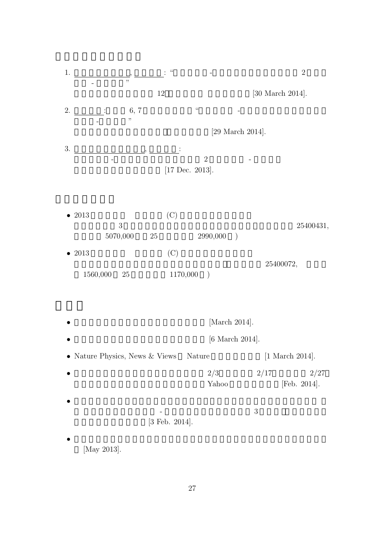1.  $\cdots$ ,  $\vdots$  "  $\hspace{1.6cm}$   $\hspace{1.6cm}$   $\hspace{1.6cm}$ 12 [30 March 2014]. 2.  $\frac{1}{\sqrt{34}}$   $\frac{6}{\sqrt{7}}$   $\frac{6}{\sqrt{7}}$   $\frac{7}{\sqrt{7}}$   $\frac{4}{\sqrt{7}}$   $\frac{4}{\sqrt{7}}$  $\hspace{1.5cm}$   $\hspace{1.5cm}$   $\hspace{1.5cm}$   $\hspace{1.5cm}$   $\hspace{1.5cm}$   $\hspace{1.5cm}$   $\hspace{1.5cm}$   $\hspace{1.5cm}$   $\hspace{1.5cm}$   $\hspace{1.5cm}$   $\hspace{1.5cm}$   $\hspace{1.5cm}$   $\hspace{1.5cm}$   $\hspace{1.5cm}$   $\hspace{1.5cm}$   $\hspace{1.5cm}$   $\hspace{1.5cm}$   $\hspace{1.5cm}$   $[29 \text{ March } 2014]$ . 3.  $\frac{1}{\sqrt{1-\frac{1}{2}}\sqrt{1-\frac{1}{2}}\left(\frac{1}{2}-\frac{1}{2}\right)}$  $[17 \text{ Dec. } 2013]$ . • 2013 (C)  $3 \t25400431,$  $5070,000$  25 2990,000 ) • 2013 (C) 25400072,  $1560,000$  25  $1170,000$  ) • *•* [March 2014]. [6 March 2014]. • Nature Physics, News & Views Nature [1 March 2014]. •  $2/3$   $2/17$   $2/27$  $Yahoo$   $[{\rm Feb. 2014}].$ •<br>• A· The state of the state of the state of the state of the state of the state of the state of the state of t  $-$  3  $[3 \text{ Feb. } 2014]$ . •<br>• <sub>\*</sub> [May 2013].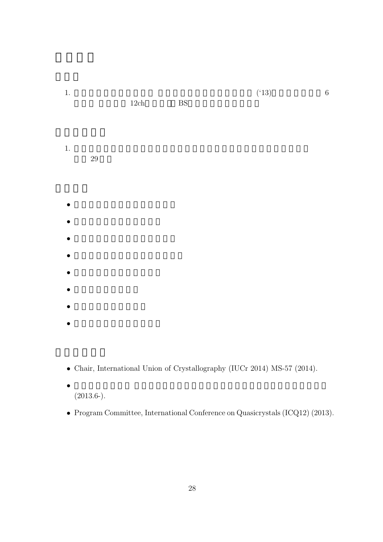- 1.  $(13)$  6 12ch(BS)  $1.$ 29 *•* 専任教員資格選考委員(前期) *•* 学部就職対策委員(前期) *•* 学部図書・広報委員長(後期) *•* リポジトリ運営会議委員(後期) *•* 大学院広報委員長(通期) *•* 大学院委員(通期) *•* 運営会議委員(通期) *•* 中期計画検討委員(通期)
	- *•* Chair, International Union of Crystallography (IUCr 2014) MS-57 (2014).
	- *•* 科学技術振興機構 さきがけ「超空間制御と革新的機能創成」領域アドバイザー  $(2013.6-).$
	- *•* Program Committee, International Conference on Quasicrystals (ICQ12) (2013).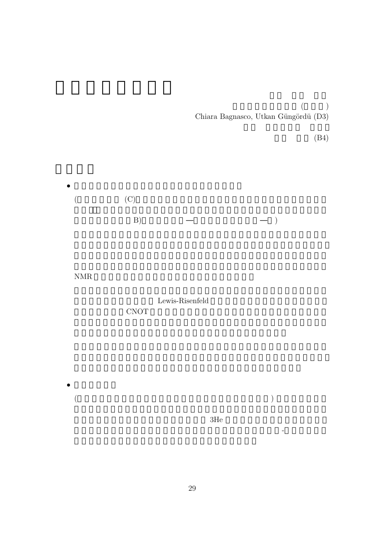$($ Chiara Bagnasco, Utkan Güngördü (D3)

 $(B4)$ 



 $NMR$ 



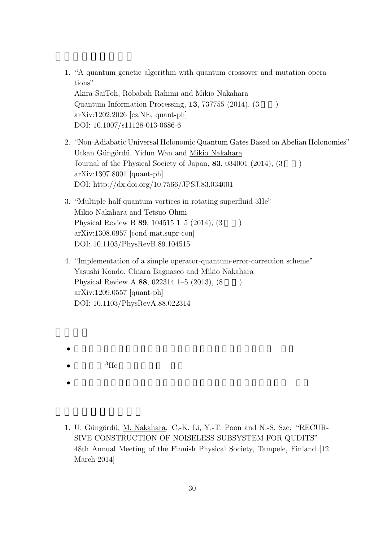- 1. "A quantum genetic algorithm with quantum crossover and mutation operations" Akira SaiToh, Robabah Rahimi and Mikio Nakahara Quantum Information Processing, **13**, 737755 (2014), (3) arXiv:1202.2026 [cs.NE, quant-ph] DOI: 10.1007/s11128-013-0686-6
- 2. "Non-Adiabatic Universal Holonomic Quantum Gates Based on Abelian Holonomies" Utkan Güngördü, Yidun Wan and Mikio Nakahara Journal of the Physical Society of Japan, **83**, 034001 (2014), (3) arXiv:1307.8001 [quant-ph] DOI: http://dx.doi.org/10.7566/JPSJ.83.034001
- 3. "Multiple half-quantum vortices in rotating superfluid 3He" Mikio Nakahara and Tetsuo Ohmi Physical Review B **89**, 104515 1–5 (2014), (3) arXiv:1308.0957 [cond-mat.supr-con] DOI: 10.1103/PhysRevB.89.104515
- 4. "Implementation of a simple operator-quantum-error-correction scheme" Yasushi Kondo, Chiara Bagnasco and Mikio Nakahara Physical Review A **88**, 022314 1–5 (2013), (8) arXiv:1209.0557 [quant-ph] DOI: 10.1103/PhysRevA.88.022314

•<br>• The contract of the contract of the contract of the contract of the contract of the contract of the contract

 $\bullet$   $\bullet$   $\rm{^{3}He}$ 

- •<br>• The state that the state the state the state three states and the state three states are the state of the st
- 1. U. Güngördü, M. Nakahara. C.-K. Li, Y.-T. Poon and N.-S. Sze: "RECUR-SIVE CONSTRUCTION OF NOISELESS SUBSYSTEM FOR QUDITS" 48th Annual Meeting of the Finnish Physical Society, Tampele, Finland [12 March 2014]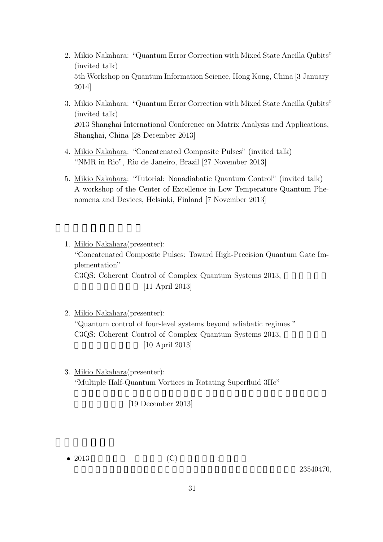- 2. Mikio Nakahara: "Quantum Error Correction with Mixed State Ancilla Qubits" (invited talk) 5th Workshop on Quantum Information Science, Hong Kong, China [3 January 2014]
- 3. Mikio Nakahara: "Quantum Error Correction with Mixed State Ancilla Qubits" (invited talk) 2013 Shanghai International Conference on Matrix Analysis and Applications, Shanghai, China [28 December 2013]
- 4. Mikio Nakahara: "Concatenated Composite Pulses" (invited talk) "NMR in Rio", Rio de Janeiro, Brazil [27 November 2013]
- 5. Mikio Nakahara: "Tutorial: Nonadiabatic Quantum Control" (invited talk) A workshop of the Center of Excellence in Low Temperature Quantum Phenomena and Devices, Helsinki, Finland [7 November 2013]
- 1. Mikio Nakahara(presenter): "Concatenated Composite Pulses: Toward High-Precision Quantum Gate Implementation" C3QS: Coherent Control of Complex Quantum Systems 2013,  $[11$  April 2013]
- 2. Mikio Nakahara(presenter): "Quantum control of four-level systems beyond adiabatic regimes " C3QS: Coherent Control of Complex Quantum Systems 2013,  $[10$  April 2013]
- 3. Mikio Nakahara(presenter): "Multiple Half-Quantum Vortices in Rotating Superfluid 3He"

 $[19$  December 2013]

• 2013 (C)  $\qquad \qquad :$ 

23540470,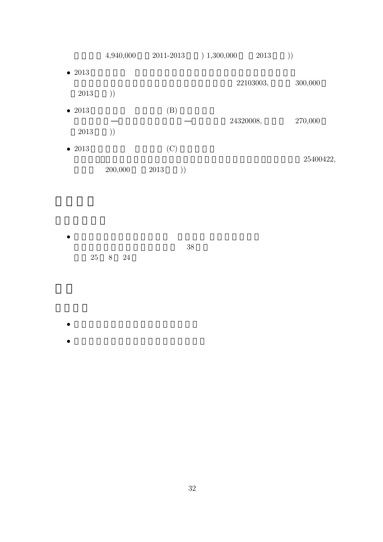|                | 4,940,000 | 2011-2013 | 1,300,000 | 2013      | ))        |
|----------------|-----------|-----------|-----------|-----------|-----------|
| • 2013         |           |           |           |           |           |
| 2013           | ))        |           |           | 22103003, | 300,000   |
| • 2013         |           | (B)       |           |           |           |
| 2013           | ))        |           | 24320008, |           | 270,000   |
| $\bullet$ 2013 |           | (C)       |           |           |           |
|                | 200,000   | 2013<br>) |           |           | 25400422, |

•<br>• <sub>199</sub> / <sub>199</sub> / 199 / 199 / 199 / 199 / 199 / 199 / 199 / 199 / 199 / 199 / 199 / 199 / 199 / 199 / 199 / 199 /  $38$ 

平成 25 8 24

*•* 総合理工学研究科理学専攻長(前期)

*•* 総合理工学研究科理学副専攻長(後期)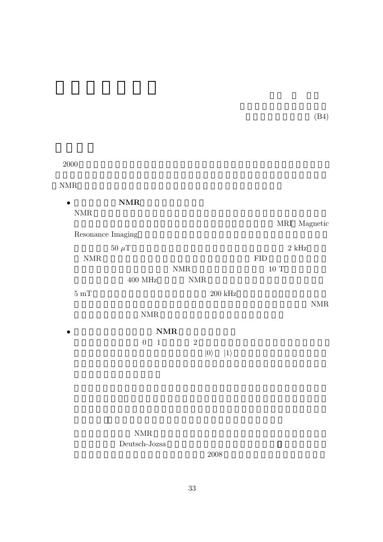$2000$ 

 $NMR$ 

*•* 核磁気共鳴(**NMR**)装置の開発と応用  $NMR$ MRI Magnetic Resonance Imaging  $50 \mu$ T  $2 \text{ kHz}$  $NMR$  FID  $NMR$  and  $10$  T  $400$  MHz NMR  $5 \text{ mT}$  and  $200 \text{ kHz}$  $NMR$ NMR <sub>20</sub> • **A** NMR  $0 \quad 1 \quad 2$  $|0\rangle$  **|1** $\rangle$ 

NMR  $\mathbb{N}$ Deutsch-Jozsa

 $2008$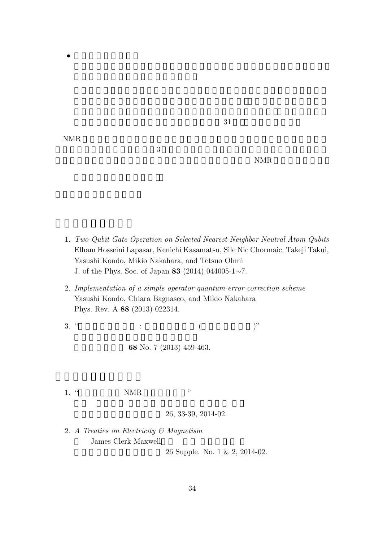*•* 学生実験装置の開発

 $3$ 

 $31$ 

## $NMR$

- 1. *Two-Qubit Gate Operation on Selected Nearest-Neighbor Neutral Atom Qubits* Elham Hosseini Lapasar, Kenichi Kasamatsu, Sile Nic Chormaic, Takeji Takui, Yasushi Kondo, Mikio Nakahara, and Tetsuo Ohmi J. of the Phys. Soc. of Japan **83** (2014) 044005-1*∼*7.
- 2. *Implementation of a simple operator-quantum-error-correction scheme* Yasushi Kondo, Chiara Bagnasco, and Mikio Nakahara Phys. Rev. A **88** (2013) 022314.
- $3.$  " $\qquad \qquad$  :  $\qquad \qquad$  ( $\qquad \qquad$  )"

68 No. 7 (2013) 459-463.

1. "  $NMR$  "

26, 33-39, 2014-02.

2. *A Treaties on Electricity & Magnetism* James Clerk Maxwell

26 Supple. No. 1 & 2, 2014-02.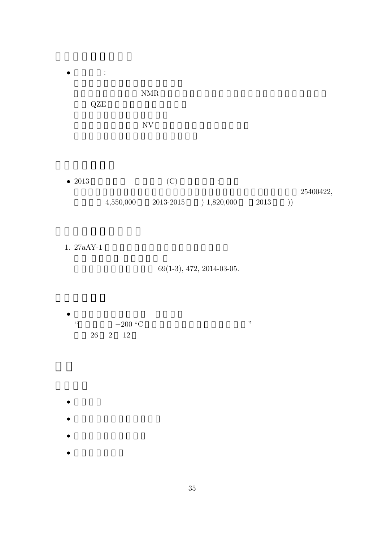- *•* 卒業論文:  $NMR$  $QZE$  $N{\rm V}$
- 2013 **(C)**  $\qquad \qquad :$ 25400422,  $4,550,000 \qquad 2013\text{--}2015 \qquad )\; 1,820,000 \qquad \ \ 2013 \qquad ) )$
- 1.  $27aAY-1$
- $69(1-3), 472, 2014-03-05.$
- *•* 東大阪市・金岡中学校 出張実験 "低温実験:*−*200 *◦*C における物質の奇妙な振る舞い"  $26$
- *•* 学生委員
- *•* 物理教育改善小委員会委員
- *•* 教育改善小委員会委員
- *•* 人事委員会委員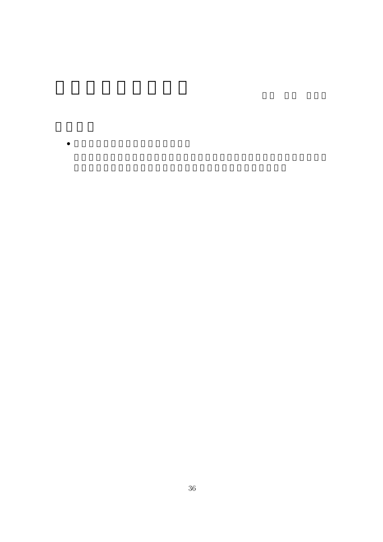*•* 銅酸化物超伝導体の作製環境の整備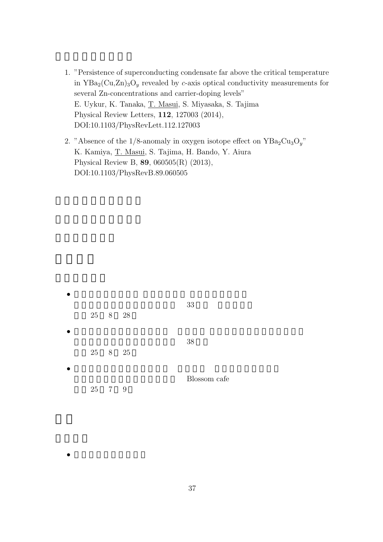- 1. "Persistence of superconducting condensate far above the critical temperature in  $YBa_2(Cu,Zn)_3O_y$  revealed by *c*-axis optical conductivity measurements for several Zn-concentrations and carrier-doping levels" E. Uykur, K. Tanaka, T. Masui, S. Miyasaka, S. Tajima Physical Review Letters, **112**, 127003 (2014), DOI:10.1103/PhysRevLett.112.127003
- 2. "Absence of the  $1/8$ -anomaly in oxygen isotope effect on  $YBa<sub>2</sub>Cu<sub>3</sub>O<sub>y</sub>$ " K. Kamiya, T. Masui, S. Tajima, H. Bando, Y. Aiura Physical Review B, **89**, 060505(R) (2013), DOI:10.1103/PhysRevB.89.060505



*•* 人権教育委員(後期)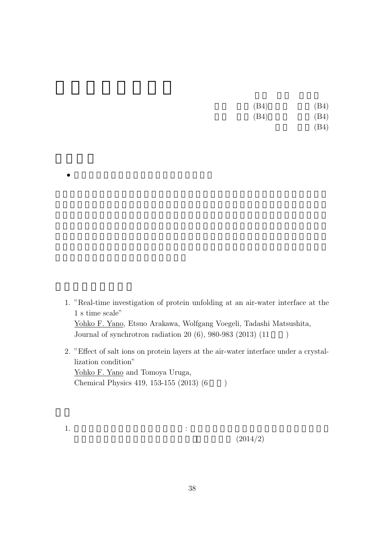| (B4) | (B4) |
|------|------|
| (B4) | (B4) |
|      | (B4) |

1. "Real-time investigation of protein unfolding at an air-water interface at the 1 s time scale" Yohko F. Yano, Etsuo Arakawa, Wolfgang Voegeli, Tadashi Matsushita, Journal of synchrotron radiation 20  $(6)$ , 980-983  $(2013)$   $(11)$ 

*•* タンパク質の界面吸着ダイナミクスの観測

2. "Effect of salt ions on protein layers at the air-water interface under a crystallization condition" Yohko F. Yano and Tomoya Uruga, Chemical Physics 419, 153-155 (2013) (6)

 $1.$ 

 $(2014/2)$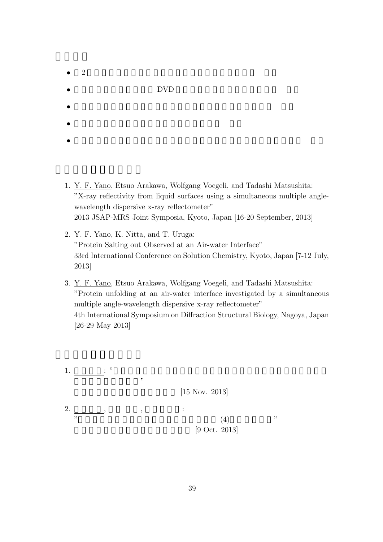- $2$ *•* 「X線反射率測定による DVD の記録メカニズムの検証」山田 貴士 •<br>• The contract of the contract of the contract of the contract of the contract of the contract of the contract •<br>• The state and the state and the state and the state and the state and the state and the state and the state •<br>• The state we have the state we have the state we have the state we have the state we have the state we have
- 1. Y. F. Yano, Etsuo Arakawa, Wolfgang Voegeli, and Tadashi Matsushita: "X-ray reflectivity from liquid surfaces using a simultaneous multiple anglewavelength dispersive x-ray reflectometer" 2013 JSAP-MRS Joint Symposia, Kyoto, Japan [16-20 September, 2013]
- 2. Y. F. Yano, K. Nitta, and T. Uruga: "Protein Salting out Observed at an Air-water Interface" 33rd International Conference on Solution Chemistry, Kyoto, Japan [7-12 July, 2013]
- 3. Y. F. Yano, Etsuo Arakawa, Wolfgang Voegeli, and Tadashi Matsushita: "Protein unfolding at an air-water interface investigated by a simultaneous multiple angle-wavelength dispersive x-ray reflectometer" 4th International Symposium on Diffraction Structural Biology, Nagoya, Japan [26-29 May 2013]



39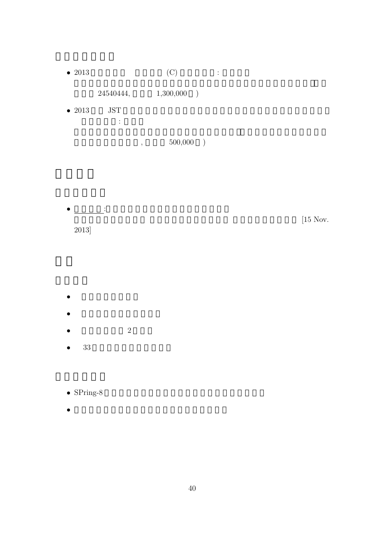- 2013 **(C)**  $\qquad \qquad :$ 
	- $24540444,$   $1,300,000$  )
- $2013$  JST 研究代表者: 松下正
- $, \qquad 500,000 \quad )$
- $\overline{\phantom{a}}$  $[15$  Nov. 2013]
- 
- *•* 安全管理衛生委員
- **•** *•*  $\mathbf{A}$ 
	- $2$
- 33 9  $\cdot$  33  $\cdot$  5  $\cdot$  5  $\cdot$  5  $\cdot$  5  $\cdot$  5  $\cdot$  5  $\cdot$  5  $\cdot$  5  $\cdot$  5  $\cdot$  5  $\cdot$  5  $\cdot$  5  $\cdot$  5  $\cdot$  5  $\cdot$  5  $\cdot$  5  $\cdot$  5  $\cdot$  5  $\cdot$  5  $\cdot$  5  $\cdot$  5  $\cdot$  5  $\cdot$  5  $\cdot$  5  $\cdot$  5  $\cdot$  5  $\cdot$  5  $\cdot$  5  $\cdot$  5  $\cdot$
- SPring-8
- *•* 第7回分子科学討論会優秀ポスター賞選考委員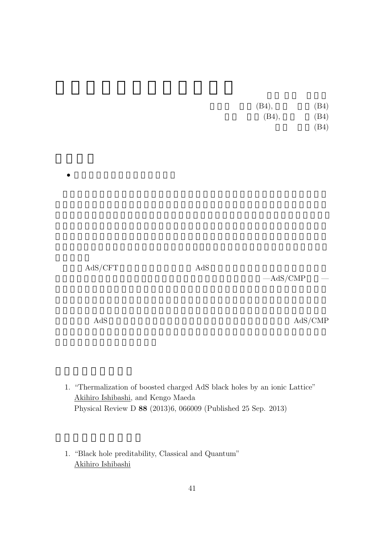| (B4), | (B4) |
|-------|------|
| (B4), | (B4) |
|       | (B4) |

 $AdS/CFT$   $AdS/CFT$ 

*•* 高次元ブラックホールの諸性質

 $-AdS/CMP$ 

 $AdS$   $AdS/CMP$ 

- 1. "Thermalization of boosted charged AdS black holes by an ionic Lattice" Akihiro Ishibashi, and Kengo Maeda Physical Review D **88** (2013)6, 066009 (Published 25 Sep. 2013)
- 1. "Black hole preditability, Classical and Quantum" Akihiro Ishibashi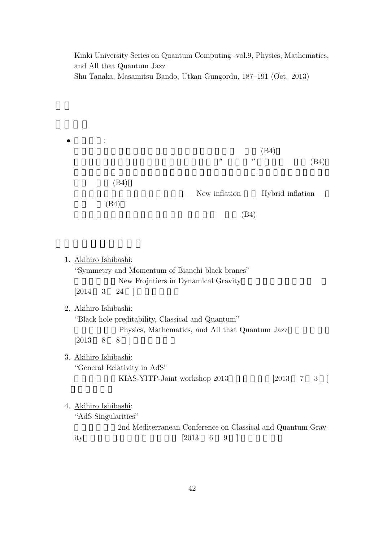Kinki University Series on Quantum Computing -vol.9, Physics, Mathematics, and All that Quantum Jazz Shu Tanaka, Masamitsu Bando, Utkan Gungordu, 187–191 (Oct. 2013)

| (B4)<br>$\epsilon$<br>, ,<br>(B4)                                                                                                                                                  |
|------------------------------------------------------------------------------------------------------------------------------------------------------------------------------------|
| (B4)<br>— New inflation<br>$Hybrid$ inflation $-$<br>(B4)<br>(B4)                                                                                                                  |
| 1. Akihiro Ishibashi:<br>"Symmetry and Momentum of Bianchi black branes"<br>New Frojntiers in Dynamical Gravity<br>$[2014]$<br>24<br>3<br>$\blacksquare$                           |
| 2. Akihiro Ishibashi:<br>"Black hole preditability, Classical and Quantum"<br>Physics, Mathematics, and All that Quantum Jazz<br>$[2013$<br>$8\,$<br>8<br>$\overline{\phantom{a}}$ |
| 3. Akihiro Ishibashi:<br>"General Relativity in AdS"<br>KIAS-YITP-Joint workshop 2013<br>$[2013$<br>$7\degree$<br>3<br>$\overline{\phantom{a}}$                                    |
| 4. Akihiro Ishibashi:<br>"AdS Singularities"<br>2nd Mediterranean Conference on Classical and Quantum Grav-<br>$[2013]$<br>6<br>$9\phantom{.0}$<br>ity                             |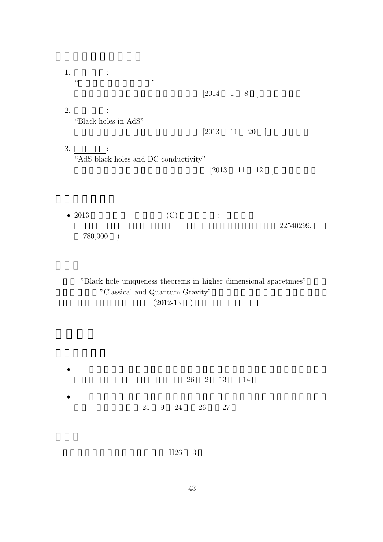| 1. |                                         |  |
|----|-----------------------------------------|--|
|    | , ,<br>$\zeta\zeta$                     |  |
|    | $[2014 \quad 1 \quad 8]$                |  |
|    |                                         |  |
| 2. |                                         |  |
|    | "Black holes in AdS"                    |  |
|    | $[2013 \quad 11 \quad 20]$              |  |
|    |                                         |  |
| 3. |                                         |  |
|    | "AdS black holes and DC conductivity"   |  |
|    | $[2013 \quad 11 \quad 12]$              |  |
|    |                                         |  |
|    |                                         |  |
|    |                                         |  |
|    | $\bullet$ 2013<br>(C)<br>$\ddot{\cdot}$ |  |
|    | 22540299,                               |  |
|    |                                         |  |

780,000 )

"Black hole uniqueness theorems in higher dimensional spacetimes"  $\,$ "Classical and Quantum Gravity"  $(2012-13)$ 

*•* 出張授業: 集中講義「ブラックホールと特異点」大阪市立大学大学院理 学研究科・理学部、大阪市、平成 26 2 13 日、14 *•* 出張授業: 集中講義「重力とブラックホール」京都大学大学院理学研究  $25 \t 9 \t 24 \t 26 \t 27$  $H26$  3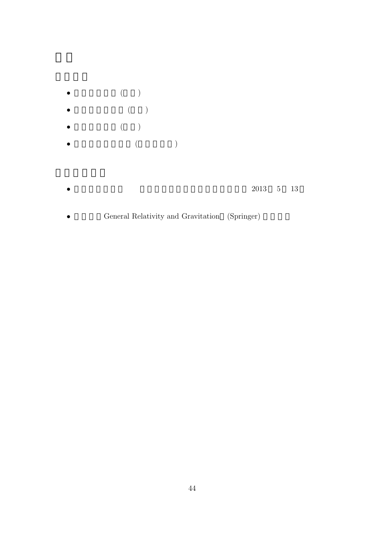- $($   $)$
- $($   $)$
- *•* 人権教育委員 (前期)
- (1)
- $2013 \quad 5 \quad 13$
- General Relativity and Gravitation (Springer)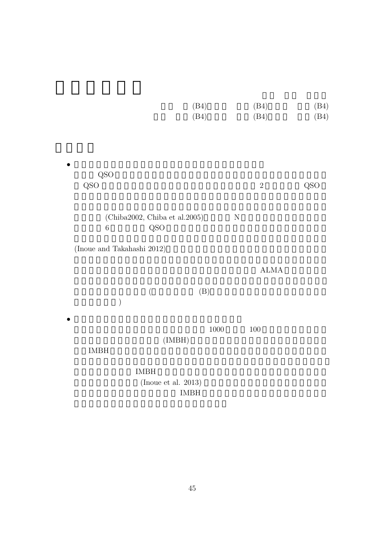| (B4) | (B4) | (B4) |
|------|------|------|
| (B4) | (B4) | (B4) |

•<br>• 2000 Production Department Production 2000 Production 2000 Production 2000 Production 2000 Production 2000 P  $QSO$  $QSO$  2  $QSO$ (Chiba2002, Chiba et al.2005)  $\hskip1cm {\rm N}$  $6$  QSO  $\qquad$ (Inoue and Takahashi  $2012$ )

 $ALMA$ 

 $($  (B)  $\qquad \qquad$ *•* 重力レンズを用いた中間質量ブラックホールの探査  $1000 \t 100$ (IMBH)

IMBH

 $IMBH$  $($ Inoue et al. 2013 $)$  $IMBH$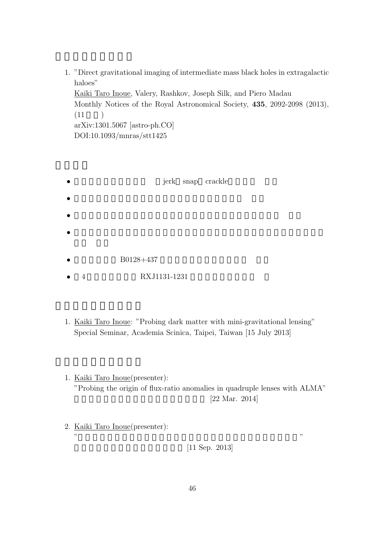1. "Direct gravitational imaging of intermediate mass black holes in extragalactic haloes"

Kaiki Taro Inoue, Valery, Rashkov, Joseph Silk, and Piero Madau Monthly Notices of the Royal Astronomical Society, **435**, 2092-2098 (2013),  $(11)$ arXiv:1301.5067 [astro-ph.CO] DOI:10.1093/mnras/stt1425

- $\text{erk}$  snap crackle •<br>• The contract of the contract of the contract of the contract of the contract of the contract of the contract of •<br>• The contract of the contract of the contract of the contract of the contract of the contract of the contract •<br>• 「宇宙マイクロ波鳴ら<sub>影影」</sub> **B0128+437**
- *•* 4 重像クエーサー RXJ1131-1231 のモデリング」高橋 誠
- 1. Kaiki Taro Inoue: "Probing dark matter with mini-gravitational lensing" Special Seminar, Academia Scinica, Taipei, Taiwan [15 July 2013]
- 1. Kaiki Taro Inoue(presenter): "Probing the origin of flux-ratio anomalies in quadruple lenses with ALMA"  $[22 \text{ Mar. } 2014]$
- 2. Kaiki Taro Inoue(presenter):  $\mathcal{M}$

 $[11$  Sep. 2013]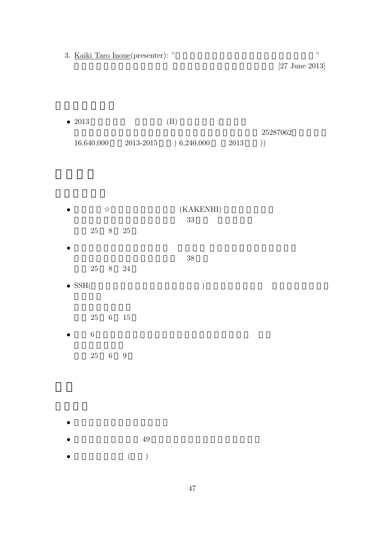3. Kaiki Taro Inoue(presenter): "

 $\left[ 27 \ \mathrm{June} \ 2013 \right]$ 

| • 2013 |            |           | $\mathbf{B}$ | $\bullet$ |      |          |
|--------|------------|-----------|--------------|-----------|------|----------|
|        |            |           |              |           |      | 25287062 |
|        | 16,640,000 | 2013-2015 | 6,240,000    |           | 2013 |          |

- $\bullet$  (KAKENHI)  $$33$  $33$  set  $\frac{33}{2}$ 平成 25 8 25 •<br>• <sub>1975</sub> • <sub>1975</sub> • 1975 • 1975 • 1975 • 1975 • 1975 • 1975 • 1975 • 1975 • 1975 • 1975 • 1975 • 1975 • 1975 • 1975  $38$
- 平成 25 8 24 • SSH( $\longrightarrow$
- 平成 25 6 15
- 6 **6** 
	- 平成 25 6 9

- *•* 図書・広報委員(前、後期)
- $49$
- ( )